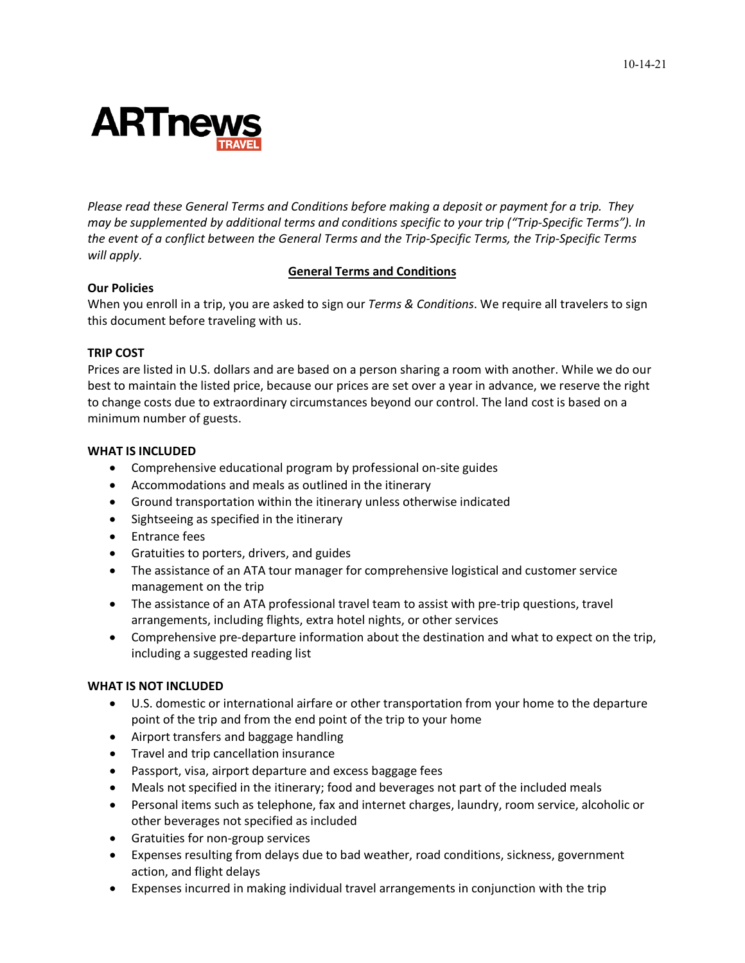

*Please read these General Terms and Conditions before making a deposit or payment for a trip. They may be supplemented by additional terms and conditions specific to your trip ("Trip-Specific Terms"). In the event of a conflict between the General Terms and the Trip-Specific Terms, the Trip-Specific Terms will apply.*

#### **General Terms and Conditions**

## **Our Policies**

When you enroll in a trip, you are asked to sign our *Terms & Conditions*. We require all travelers to sign this document before traveling with us.

## **TRIP COST**

Prices are listed in U.S. dollars and are based on a person sharing a room with another. While we do our best to maintain the listed price, because our prices are set over a year in advance, we reserve the right to change costs due to extraordinary circumstances beyond our control. The land cost is based on a minimum number of guests.

## **WHAT IS INCLUDED**

- Comprehensive educational program by professional on-site guides
- Accommodations and meals as outlined in the itinerary
- Ground transportation within the itinerary unless otherwise indicated
- Sightseeing as specified in the itinerary
- Entrance fees
- Gratuities to porters, drivers, and guides
- The assistance of an ATA tour manager for comprehensive logistical and customer service management on the trip
- The assistance of an ATA professional travel team to assist with pre-trip questions, travel arrangements, including flights, extra hotel nights, or other services
- Comprehensive pre-departure information about the destination and what to expect on the trip, including a suggested reading list

## **WHAT IS NOT INCLUDED**

- U.S. domestic or international airfare or other transportation from your home to the departure point of the trip and from the end point of the trip to your home
- Airport transfers and baggage handling
- Travel and trip cancellation insurance
- Passport, visa, airport departure and excess baggage fees
- Meals not specified in the itinerary; food and beverages not part of the included meals
- Personal items such as telephone, fax and internet charges, laundry, room service, alcoholic or other beverages not specified as included
- Gratuities for non-group services
- Expenses resulting from delays due to bad weather, road conditions, sickness, government action, and flight delays
- Expenses incurred in making individual travel arrangements in conjunction with the trip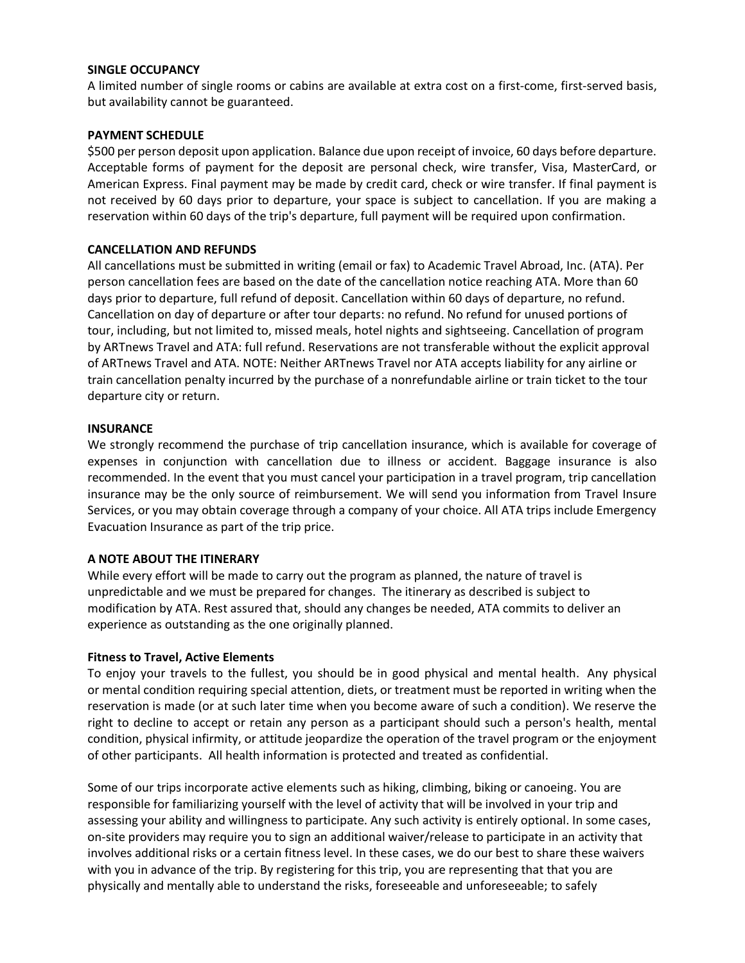## **SINGLE OCCUPANCY**

A limited number of single rooms or cabins are available at extra cost on a first-come, first-served basis, but availability cannot be guaranteed.

## **PAYMENT SCHEDULE**

\$500 per person deposit upon application. Balance due upon receipt of invoice, 60 days before departure. Acceptable forms of payment for the deposit are personal check, wire transfer, Visa, MasterCard, or American Express. Final payment may be made by credit card, check or wire transfer. If final payment is not received by 60 days prior to departure, your space is subject to cancellation. If you are making a reservation within 60 days of the trip's departure, full payment will be required upon confirmation.

## **CANCELLATION AND REFUNDS**

All cancellations must be submitted in writing (email or fax) to Academic Travel Abroad, Inc. (ATA). Per person cancellation fees are based on the date of the cancellation notice reaching ATA. More than 60 days prior to departure, full refund of deposit. Cancellation within 60 days of departure, no refund. Cancellation on day of departure or after tour departs: no refund. No refund for unused portions of tour, including, but not limited to, missed meals, hotel nights and sightseeing. Cancellation of program by ARTnews Travel and ATA: full refund. Reservations are not transferable without the explicit approval of ARTnews Travel and ATA. NOTE: Neither ARTnews Travel nor ATA accepts liability for any airline or train cancellation penalty incurred by the purchase of a nonrefundable airline or train ticket to the tour departure city or return.

#### **INSURANCE**

We strongly recommend the purchase of trip cancellation insurance, which is available for coverage of expenses in conjunction with cancellation due to illness or accident. Baggage insurance is also recommended. In the event that you must cancel your participation in a travel program, trip cancellation insurance may be the only source of reimbursement. We will send you information from Travel Insure Services, or you may obtain coverage through a company of your choice. All ATA trips include Emergency Evacuation Insurance as part of the trip price.

#### **A NOTE ABOUT THE ITINERARY**

While every effort will be made to carry out the program as planned, the nature of travel is unpredictable and we must be prepared for changes. The itinerary as described is subject to modification by ATA. Rest assured that, should any changes be needed, ATA commits to deliver an experience as outstanding as the one originally planned.

#### **Fitness to Travel, Active Elements**

To enjoy your travels to the fullest, you should be in good physical and mental health. Any physical or mental condition requiring special attention, diets, or treatment must be reported in writing when the reservation is made (or at such later time when you become aware of such a condition). We reserve the right to decline to accept or retain any person as a participant should such a person's health, mental condition, physical infirmity, or attitude jeopardize the operation of the travel program or the enjoyment of other participants. All health information is protected and treated as confidential.

Some of our trips incorporate active elements such as hiking, climbing, biking or canoeing. You are responsible for familiarizing yourself with the level of activity that will be involved in your trip and assessing your ability and willingness to participate. Any such activity is entirely optional. In some cases, on-site providers may require you to sign an additional waiver/release to participate in an activity that involves additional risks or a certain fitness level. In these cases, we do our best to share these waivers with you in advance of the trip. By registering for this trip, you are representing that that you are physically and mentally able to understand the risks, foreseeable and unforeseeable; to safely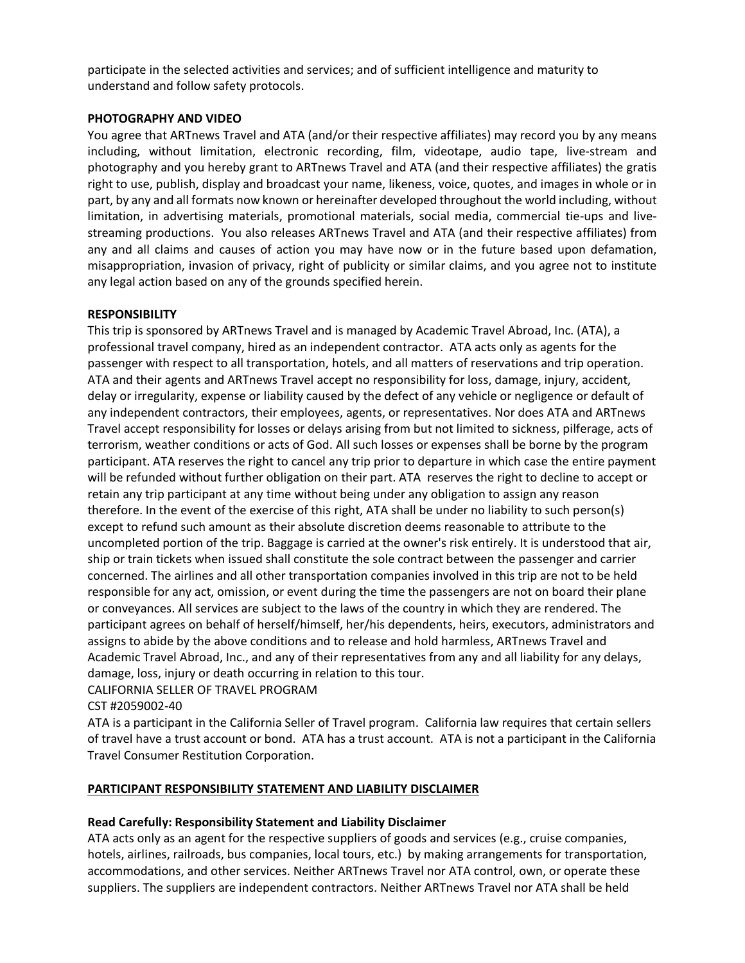participate in the selected activities and services; and of sufficient intelligence and maturity to understand and follow safety protocols.

## **PHOTOGRAPHY AND VIDEO**

You agree that ARTnews Travel and ATA (and/or their respective affiliates) may record you by any means including, without limitation, electronic recording, film, videotape, audio tape, live-stream and photography and you hereby grant to ARTnews Travel and ATA (and their respective affiliates) the gratis right to use, publish, display and broadcast your name, likeness, voice, quotes, and images in whole or in part, by any and all formats now known or hereinafter developed throughout the world including, without limitation, in advertising materials, promotional materials, social media, commercial tie-ups and livestreaming productions. You also releases ARTnews Travel and ATA (and their respective affiliates) from any and all claims and causes of action you may have now or in the future based upon defamation, misappropriation, invasion of privacy, right of publicity or similar claims, and you agree not to institute any legal action based on any of the grounds specified herein.

## **RESPONSIBILITY**

This trip is sponsored by ARTnews Travel and is managed by Academic Travel Abroad, Inc. (ATA), a professional travel company, hired as an independent contractor. ATA acts only as agents for the passenger with respect to all transportation, hotels, and all matters of reservations and trip operation. ATA and their agents and ARTnews Travel accept no responsibility for loss, damage, injury, accident, delay or irregularity, expense or liability caused by the defect of any vehicle or negligence or default of any independent contractors, their employees, agents, or representatives. Nor does ATA and ARTnews Travel accept responsibility for losses or delays arising from but not limited to sickness, pilferage, acts of terrorism, weather conditions or acts of God. All such losses or expenses shall be borne by the program participant. ATA reserves the right to cancel any trip prior to departure in which case the entire payment will be refunded without further obligation on their part. ATA reserves the right to decline to accept or retain any trip participant at any time without being under any obligation to assign any reason therefore. In the event of the exercise of this right, ATA shall be under no liability to such person(s) except to refund such amount as their absolute discretion deems reasonable to attribute to the uncompleted portion of the trip. Baggage is carried at the owner's risk entirely. It is understood that air, ship or train tickets when issued shall constitute the sole contract between the passenger and carrier concerned. The airlines and all other transportation companies involved in this trip are not to be held responsible for any act, omission, or event during the time the passengers are not on board their plane or conveyances. All services are subject to the laws of the country in which they are rendered. The participant agrees on behalf of herself/himself, her/his dependents, heirs, executors, administrators and assigns to abide by the above conditions and to release and hold harmless, ARTnews Travel and Academic Travel Abroad, Inc., and any of their representatives from any and all liability for any delays, damage, loss, injury or death occurring in relation to this tour.

CALIFORNIA SELLER OF TRAVEL PROGRAM

CST #2059002-40

ATA is a participant in the California Seller of Travel program. California law requires that certain sellers of travel have a trust account or bond. ATA has a trust account. ATA is not a participant in the California Travel Consumer Restitution Corporation.

## **PARTICIPANT RESPONSIBILITY STATEMENT AND LIABILITY DISCLAIMER**

## **Read Carefully: Responsibility Statement and Liability Disclaimer**

ATA acts only as an agent for the respective suppliers of goods and services (e.g., cruise companies, hotels, airlines, railroads, bus companies, local tours, etc.) by making arrangements for transportation, accommodations, and other services. Neither ARTnews Travel nor ATA control, own, or operate these suppliers. The suppliers are independent contractors. Neither ARTnews Travel nor ATA shall be held